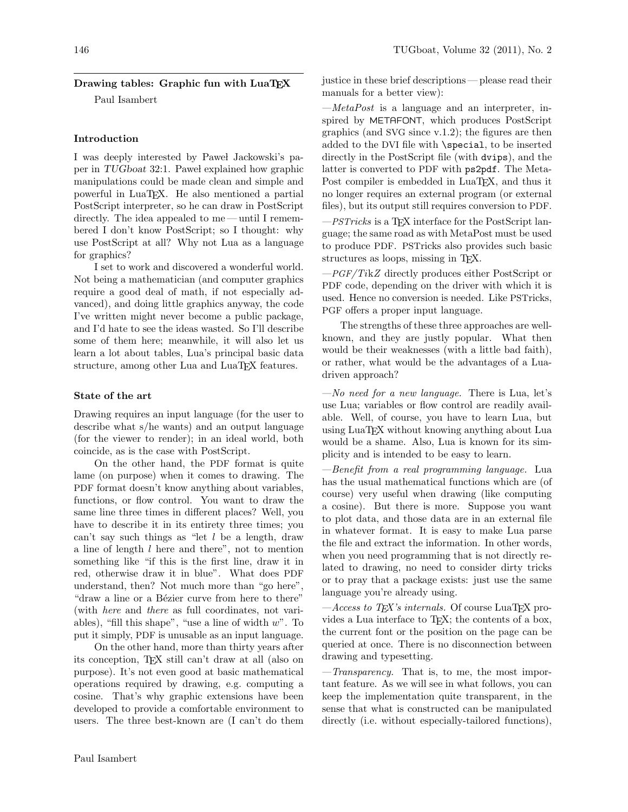# Drawing tables: Graphic fun with LuaTEX

Paul Isambert

## Introduction

I was deeply interested by Pawel Jackowski's paper in TUGboat 32:1. Pawel explained how graphic manipulations could be made clean and simple and powerful in LuaTEX. He also mentioned a partial PostScript interpreter, so he can draw in PostScript directly. The idea appealed to me — until I remembered I don't know PostScript; so I thought: why use PostScript at all? Why not Lua as a language for graphics?

I set to work and discovered a wonderful world. Not being a mathematician (and computer graphics require a good deal of math, if not especially advanced), and doing little graphics anyway, the code I've written might never become a public package, and I'd hate to see the ideas wasted. So I'll describe some of them here; meanwhile, it will also let us learn a lot about tables, Lua's principal basic data structure, among other Lua and LuaTFX features.

## State of the art

Drawing requires an input language (for the user to describe what s/he wants) and an output language (for the viewer to render); in an ideal world, both coincide, as is the case with PostScript.

On the other hand, the PDF format is quite lame (on purpose) when it comes to drawing. The PDF format doesn't know anything about variables, functions, or flow control. You want to draw the same line three times in different places? Well, you have to describe it in its entirety three times; you can't say such things as "let  $l$  be a length, draw a line of length l here and there", not to mention something like "if this is the first line, draw it in red, otherwise draw it in blue". What does PDF understand, then? Not much more than "go here", "draw a line or a Bézier curve from here to there" (with here and there as full coordinates, not variables), "fill this shape", "use a line of width  $w$ ". To put it simply, PDF is unusable as an input language.

On the other hand, more than thirty years after its conception, TEX still can't draw at all (also on purpose). It's not even good at basic mathematical operations required by drawing, e.g. computing a cosine. That's why graphic extensions have been developed to provide a comfortable environment to users. The three best-known are (I can't do them

justice in these brief descriptions— please read their manuals for a better view):

 $-MetaPost$  is a language and an interpreter, inspired by METAFONT, which produces PostScript graphics (and SVG since v.1.2); the figures are then added to the DVI file with \special, to be inserted directly in the PostScript file (with dvips), and the latter is converted to PDF with ps2pdf. The Meta-Post compiler is embedded in LuaT<sub>EX</sub>, and thus it no longer requires an external program (or external files), but its output still requires conversion to PDF.

 $-$ PSTricks is a T<sub>E</sub>X interface for the PostScript language; the same road as with MetaPost must be used to produce PDF. PSTricks also provides such basic structures as loops, missing in T<sub>E</sub>X.

 $-PGF/TikZ$  directly produces either PostScript or PDF code, depending on the driver with which it is used. Hence no conversion is needed. Like PSTricks, PGF offers a proper input language.

The strengths of these three approaches are wellknown, and they are justly popular. What then would be their weaknesses (with a little bad faith), or rather, what would be the advantages of a Luadriven approach?

 $-No$  need for a new language. There is Lua, let's use Lua; variables or flow control are readily available. Well, of course, you have to learn Lua, but using LuaTEX without knowing anything about Lua would be a shame. Also, Lua is known for its simplicity and is intended to be easy to learn.

—Benefit from a real programming language. Lua has the usual mathematical functions which are (of course) very useful when drawing (like computing a cosine). But there is more. Suppose you want to plot data, and those data are in an external file in whatever format. It is easy to make Lua parse the file and extract the information. In other words, when you need programming that is not directly related to drawing, no need to consider dirty tricks or to pray that a package exists: just use the same language you're already using.

 $-\lambda$ ccess to T<sub>E</sub>X's internals. Of course LuaT<sub>E</sub>X provides a Lua interface to TEX; the contents of a box, the current font or the position on the page can be queried at once. There is no disconnection between drawing and typesetting.

 $-Transparency$ . That is, to me, the most important feature. As we will see in what follows, you can keep the implementation quite transparent, in the sense that what is constructed can be manipulated directly (i.e. without especially-tailored functions),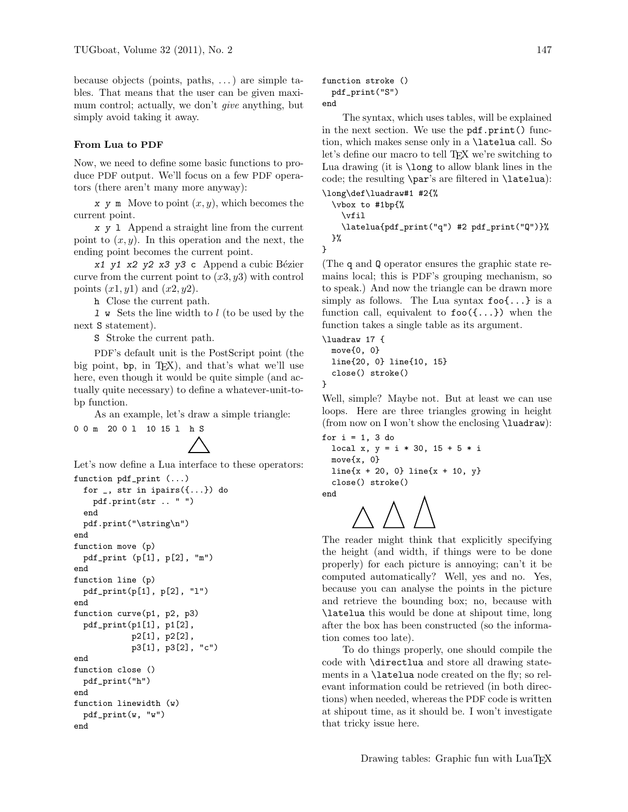because objects (points, paths, . . .) are simple tables. That means that the user can be given maximum control; actually, we don't *give* anything, but simply avoid taking it away.

#### From Lua to PDF

Now, we need to define some basic functions to produce PDF output. We'll focus on a few PDF operators (there aren't many more anyway):

x y m Move to point  $(x, y)$ , which becomes the current point.

x y l Append a straight line from the current point to  $(x, y)$ . In this operation and the next, the ending point becomes the current point.

 $x1$  y1 x2 y2 x3 y3 c Append a cubic Bézier curve from the current point to  $(x3, y3)$  with control points  $(x1, y1)$  and  $(x2, y2)$ .

h Close the current path.

l w Sets the line width to l (to be used by the next S statement).

S Stroke the current path.

PDF's default unit is the PostScript point (the big point, bp, in TEX), and that's what we'll use here, even though it would be quite simple (and actually quite necessary) to define a whatever-unit-tobp function.

As an example, let's draw a simple triangle:

0 0 m 20 0 l 10 15 l h S

Let's now define a Lua interface to these operators:

```
function pdf_print (...)
 for _, str in ipairs({...}) do
    pdf.print(str .. " ")
  end
 pdf.print("\string\n")
end
function move (p)
 pdf_print (p[1], p[2], "m")
end
function line (p)
 pdf_print(p[1], p[2], "l")
end
function curve(p1, p2, p3)
 pdf_print(p1[1], p1[2],
            p2[1], p2[2],
            p3[1], p3[2], "c")
end
function close ()
 pdf_print("h")
end
function linewidth (w)
 pdf_print(w, "w")
end
```

```
function stroke ()
 pdf_print("S")
end
```
The syntax, which uses tables, will be explained in the next section. We use the pdf.print() function, which makes sense only in a \latelua call. So let's define our macro to tell T<sub>EX</sub> we're switching to Lua drawing (it is \long to allow blank lines in the code; the resulting \par's are filtered in \latelua):

```
\long\def\luadraw#1 #2{%
 \vbox to #1bp{%
   \vfil
    \latelua{pdf_print("q") #2 pdf_print("Q")}%
 }%
```
(The q and Q operator ensures the graphic state remains local; this is PDF's grouping mechanism, so to speak.) And now the triangle can be drawn more simply as follows. The Lua syntax  $\mathbf{f}$  oo  $\{\ldots\}$  is a function call, equivalent to  $\mathfrak{so}(\{\ldots\})$  when the function takes a single table as its argument.

```
\luadraw 17 {
 move{0, 0}
 line{20, 0} line{10, 15}
  close() stroke()
```
Well, simple? Maybe not. But at least we can use loops. Here are three triangles growing in height (from now on I won't show the enclosing \luadraw):

```
for i = 1, 3 do
 local x, y = i * 30, 15 + 5 * imove{x, 0}
 line{x + 20, 0} line{x + 10, y}close() stroke()
```
end

}

}

The reader might think that explicitly specifying the height (and width, if things were to be done properly) for each picture is annoying; can't it be computed automatically? Well, yes and no. Yes, because you can analyse the points in the picture and retrieve the bounding box; no, because with \latelua this would be done at shipout time, long after the box has been constructed (so the information comes too late).

To do things properly, one should compile the code with \directlua and store all drawing statements in a \latelua node created on the fly; so relevant information could be retrieved (in both directions) when needed, whereas the PDF code is written at shipout time, as it should be. I won't investigate that tricky issue here.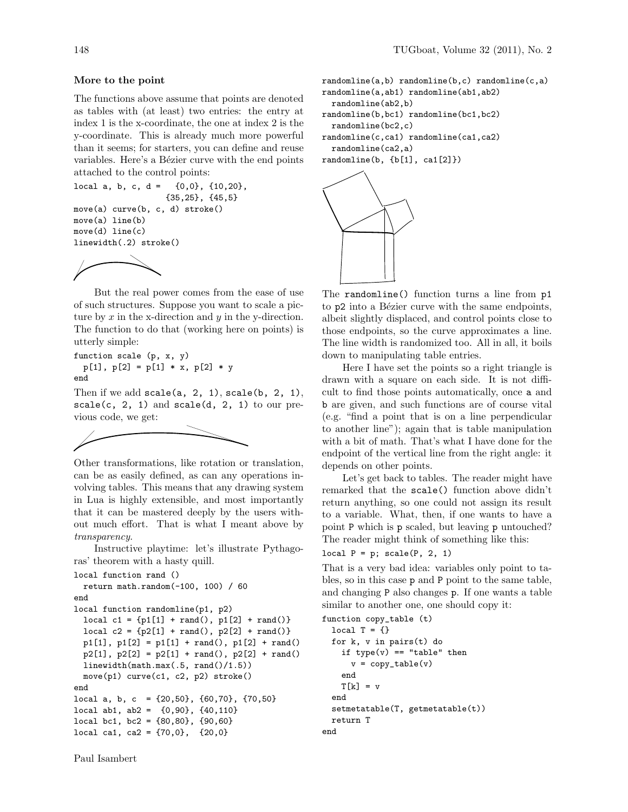#### More to the point

The functions above assume that points are denoted as tables with (at least) two entries: the entry at index 1 is the x-coordinate, the one at index 2 is the y-coordinate. This is already much more powerful than it seems; for starters, you can define and reuse variables. Here's a Bézier curve with the end points attached to the control points:

```
local a, b, c, d = \{0,0\}, \{10,20\},
                   {35,25}, {45,5}
move(a) curve(b, c, d) stroke()
move(a) line(b)
move(d) line(c)
linewidth(.2) stroke()
```


But the real power comes from the ease of use of such structures. Suppose you want to scale a picture by  $x$  in the x-direction and  $y$  in the y-direction. The function to do that (working here on points) is utterly simple:

function scale (p, x, y)  $p[1], p[2] = p[1] * x, p[2] * y$ end

Then if we add  $scale(a, 2, 1)$ ,  $scale(b, 2, 1)$ ,  $scale(c, 2, 1)$  and  $scale(d, 2, 1)$  to our previous code, we get:



Other transformations, like rotation or translation, can be as easily defined, as can any operations involving tables. This means that any drawing system in Lua is highly extensible, and most importantly that it can be mastered deeply by the users without much effort. That is what I meant above by transparency.

Instructive playtime: let's illustrate Pythagoras' theorem with a hasty quill.

```
local function rand ()
 return math.random(-100, 100) / 60
end
local function randomline(p1, p2)
 local c1 = \{p1[1] + rand(), p1[2] + rand()\}local c2 = \{p2[1] + rand(), p2[2] + rand()p1[1], p1[2] = p1[1] + rand(), p1[2] + rand()p2[1], p2[2] = p2[1] + rand(), p2[2] + rand()linewidth(math.max(.5, rand()/1.5))
 move(p1) curve(c1, c2, p2) stroke()
end
local a, b, c = \{20, 50\}, \{60, 70\}, \{70, 50\}local ab1, ab2 = {0,90}, {40,110}
local bc1, bc2 = {80,80}, {90,60}local ca1, ca2 = \{70,0\}, \{20,0\}
```

```
randomline(a,b) randomline(b,c) randomline(c,a)
randomline(a,ab1) randomline(ab1,ab2)
 randomline(ab2,b)
randomline(b,bc1) randomline(bc1,bc2)
 randomline(bc2,c)
randomline(c,ca1) randomline(ca1,ca2)
 randomline(ca2,a)
randomline(b, {b[1], cal[2]})
```


The randomline() function turns a line from p1 to p2 into a Bézier curve with the same endpoints, albeit slightly displaced, and control points close to those endpoints, so the curve approximates a line. The line width is randomized too. All in all, it boils down to manipulating table entries.

Here I have set the points so a right triangle is drawn with a square on each side. It is not difficult to find those points automatically, once a and b are given, and such functions are of course vital (e.g. "find a point that is on a line perpendicular to another line"); again that is table manipulation with a bit of math. That's what I have done for the endpoint of the vertical line from the right angle: it depends on other points.

Let's get back to tables. The reader might have remarked that the scale() function above didn't return anything, so one could not assign its result to a variable. What, then, if one wants to have a point P which is p scaled, but leaving p untouched? The reader might think of something like this:

```
local P = p; scale(P, 2, 1)
```
That is a very bad idea: variables only point to tables, so in this case p and P point to the same table, and changing P also changes p. If one wants a table similar to another one, one should copy it:

```
function copy_table (t)
 local T = \{\}for k, v in pairs(t) do
   if type(v) == "table" thenv = copy\_table(v)end
   T[k] = vend
 setmetatable(T, getmetatable(t))
 return T
end
```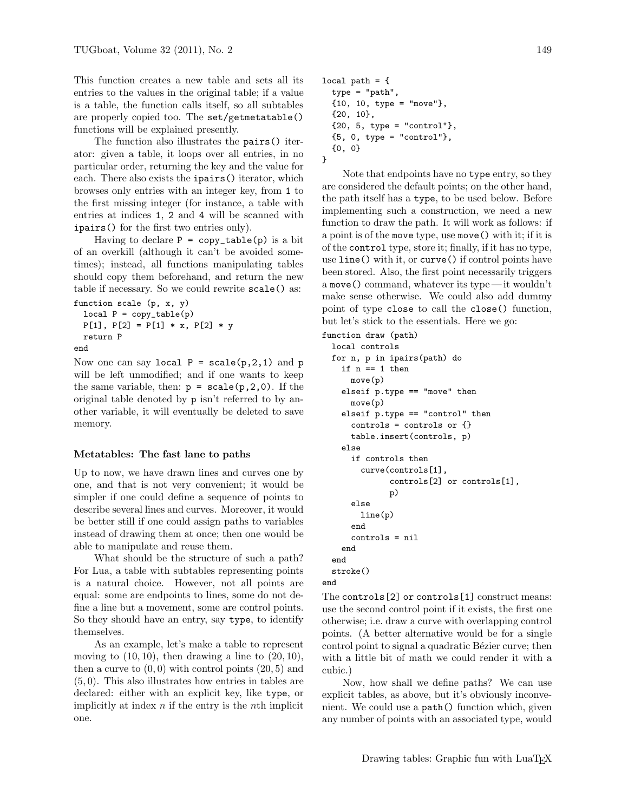This function creates a new table and sets all its entries to the values in the original table; if a value is a table, the function calls itself, so all subtables are properly copied too. The set/getmetatable() functions will be explained presently.

The function also illustrates the pairs() iterator: given a table, it loops over all entries, in no particular order, returning the key and the value for each. There also exists the ipairs() iterator, which browses only entries with an integer key, from 1 to the first missing integer (for instance, a table with entries at indices 1, 2 and 4 will be scanned with ipairs() for the first two entries only).

Having to declare  $P = copy\_table(p)$  is a bit of an overkill (although it can't be avoided sometimes); instead, all functions manipulating tables should copy them beforehand, and return the new table if necessary. So we could rewrite scale() as:

```
function scale (p, x, y)
 local P = copy_table(p)P[1], P[2] = P[1] * x, P[2] * yreturn P
end
```
Now one can say local  $P = scale(p, 2, 1)$  and  $p$ will be left unmodified; and if one wants to keep the same variable, then:  $p = scale(p, 2, 0)$ . If the original table denoted by p isn't referred to by another variable, it will eventually be deleted to save memory.

### Metatables: The fast lane to paths

Up to now, we have drawn lines and curves one by one, and that is not very convenient; it would be simpler if one could define a sequence of points to describe several lines and curves. Moreover, it would be better still if one could assign paths to variables instead of drawing them at once; then one would be able to manipulate and reuse them.

What should be the structure of such a path? For Lua, a table with subtables representing points is a natural choice. However, not all points are equal: some are endpoints to lines, some do not define a line but a movement, some are control points. So they should have an entry, say type, to identify themselves.

As an example, let's make a table to represent moving to  $(10, 10)$ , then drawing a line to  $(20, 10)$ , then a curve to  $(0, 0)$  with control points  $(20, 5)$  and (5, 0). This also illustrates how entries in tables are declared: either with an explicit key, like type, or implicitly at index  $n$  if the entry is the  $n$ <sup>th</sup> implicit one.

```
local path = {
  type = "path",
  {10, 10, type = "move"},
  {20, 10},
  {20, 5, type = "control";}{5, 0, type = "control"},
  {0, 0}
}
```
Note that endpoints have no type entry, so they are considered the default points; on the other hand, the path itself has a type, to be used below. Before implementing such a construction, we need a new function to draw the path. It will work as follows: if a point is of the move type, use move() with it; if it is of the control type, store it; finally, if it has no type, use line() with it, or curve() if control points have been stored. Also, the first point necessarily triggers a move() command, whatever its type — it wouldn't make sense otherwise. We could also add dummy point of type close to call the close() function, but let's stick to the essentials. Here we go:

```
function draw (path)
  local controls
  for n, p in ipairs(path) do
    if n == 1 then
      move(p)
    elseif p.type == "move" then
      move(p)
    elseif p.type == "control" then
      controls = controls or {}
      table.insert(controls, p)
    else
      if controls then
        curve(controls[1],
              controls[2] or controls[1],
              p)
      else
        line(p)
      end
      controls = nil
    end
  end
  stroke()
end
```
The controls[2] or controls[1] construct means: use the second control point if it exists, the first one otherwise; i.e. draw a curve with overlapping control points. (A better alternative would be for a single control point to signal a quadratic Bézier curve; then with a little bit of math we could render it with a cubic.)

Now, how shall we define paths? We can use explicit tables, as above, but it's obviously inconvenient. We could use a path() function which, given any number of points with an associated type, would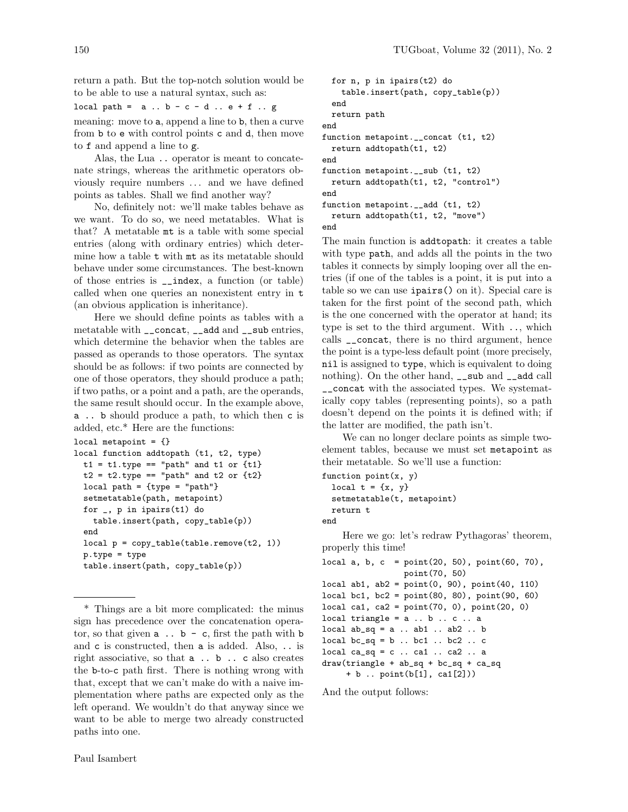return a path. But the top-notch solution would be to be able to use a natural syntax, such as:

local path =  $a \cdot b - c - d \cdot e + f \cdot g$ 

meaning: move to a, append a line to b, then a curve from b to e with control points c and d, then move to f and append a line to g.

Alas, the Lua .. operator is meant to concatenate strings, whereas the arithmetic operators obviously require numbers ... and we have defined points as tables. Shall we find another way?

No, definitely not: we'll make tables behave as we want. To do so, we need metatables. What is that? A metatable mt is a table with some special entries (along with ordinary entries) which determine how a table t with mt as its metatable should behave under some circumstances. The best-known of those entries is \_\_index, a function (or table) called when one queries an nonexistent entry in t (an obvious application is inheritance).

Here we should define points as tables with a metatable with \_\_concat, \_\_add and \_\_sub entries, which determine the behavior when the tables are passed as operands to those operators. The syntax should be as follows: if two points are connected by one of those operators, they should produce a path; if two paths, or a point and a path, are the operands, the same result should occur. In the example above, a .. b should produce a path, to which then c is added, etc.\* Here are the functions:

```
local metapoint = \{\}local function addtopath (t1, t2, type)
 t1 = t1.type == "path" and t1 or \{t1\}t2 = t2.type == "path" and t2 or \{t2\}local path = {type = "path" }setmetatable(path, metapoint)
 for _, p in ipairs(t1) do
   table.insert(path, copy_table(p))
  end
 local p = copy_table(table.remove(t2, 1))p.type = type
 table.insert(path, copy_table(p))
```
\* Things are a bit more complicated: the minus sign has precedence over the concatenation operator, so that given  $a \dots b - c$ , first the path with  $b$ and c is constructed, then a is added. Also, .. is right associative, so that a .. b .. c also creates the b-to-c path first. There is nothing wrong with that, except that we can't make do with a naive implementation where paths are expected only as the left operand. We wouldn't do that anyway since we want to be able to merge two already constructed paths into one.

```
for n, p in ipairs(t2) do
    table.insert(path, copy_table(p))
 end
 return path
end
function metapoint.__concat (t1, t2)
 return addtopath(t1, t2)
end
function metapoint.__sub (t1, t2)
 return addtopath(t1, t2, "control")
end
function metapoint.__add (t1, t2)
 return addtopath(t1, t2, "move")
end
```
The main function is addtopath: it creates a table with type path, and adds all the points in the two tables it connects by simply looping over all the entries (if one of the tables is a point, it is put into a table so we can use ipairs() on it). Special care is taken for the first point of the second path, which is the one concerned with the operator at hand; its type is set to the third argument. With .., which calls \_\_concat, there is no third argument, hence the point is a type-less default point (more precisely, nil is assigned to type, which is equivalent to doing nothing). On the other hand,  $\Box$ sub and  $\Box$ add call \_\_concat with the associated types. We systematically copy tables (representing points), so a path doesn't depend on the points it is defined with; if the latter are modified, the path isn't.

We can no longer declare points as simple twoelement tables, because we must set metapoint as their metatable. So we'll use a function:

```
function point(x, y)local t = \{x, y\}setmetatable(t, metapoint)
 return t
```
end

Here we go: let's redraw Pythagoras' theorem, properly this time!

```
local a, b, c = point(20, 50), point(60, 70),
                  point(70, 50)
local ab1, ab2 = point(0, 90), point(40, 110)local bc1, bc2 = point(80, 80), point(90, 60)
local ca1, ca2 = point(70, 0), point(20, 0)
local triangle = a \dots b \dots c \dots alocal ab_sq = a \dots ab1 \dots ab2 \dots blocal bc_sq = b .. bc1 .. bc2 .. c
local ca_sq = c \dots ca1 \dots ca2 \dots adraw(triangle + ab_sq + bc_sq + ca_sq
     + b .. point(b[1], ca1[2]))
```
And the output follows: